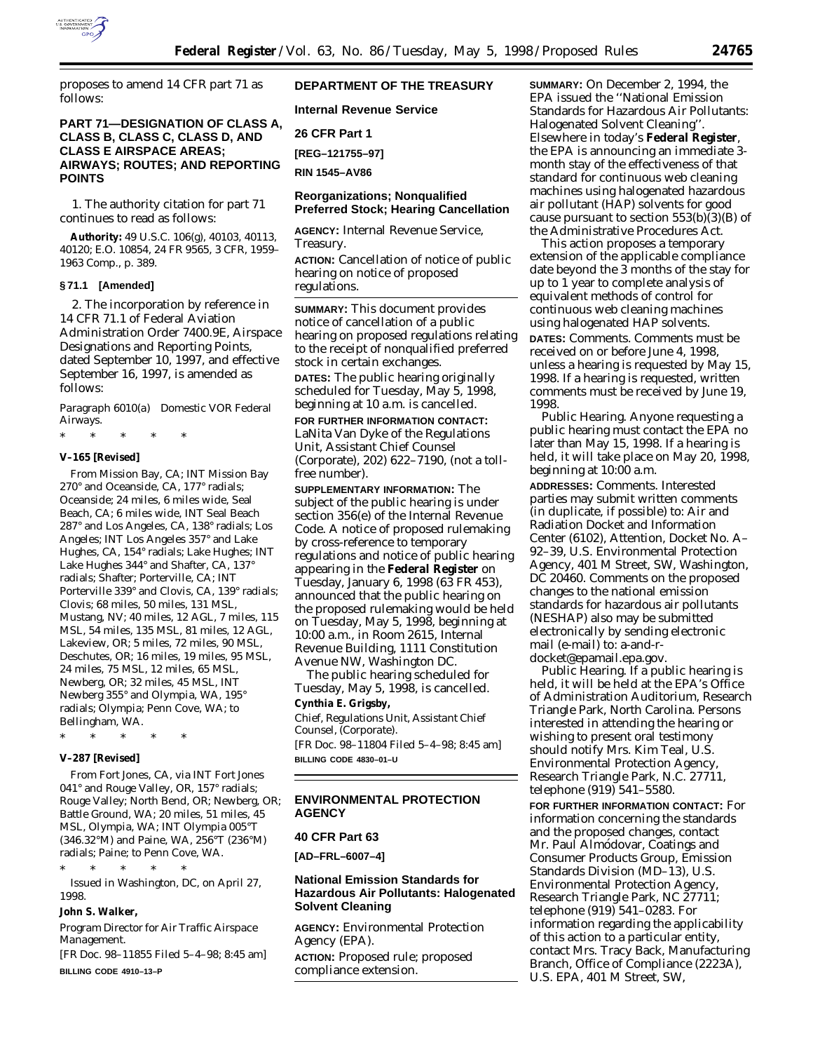

proposes to amend 14 CFR part 71 as follows:

# **PART 71—DESIGNATION OF CLASS A, CLASS B, CLASS C, CLASS D, AND CLASS E AIRSPACE AREAS; AIRWAYS; ROUTES; AND REPORTING POINTS**

1. The authority citation for part 71 continues to read as follows:

**Authority:** 49 U.S.C. 106(g), 40103, 40113, 40120; E.O. 10854, 24 FR 9565, 3 CFR, 1959– 1963 Comp., p. 389.

### **§ 71.1 [Amended]**

2. The incorporation by reference in 14 CFR 71.1 of Federal Aviation Administration Order 7400.9E, Airspace Designations and Reporting Points, dated September 10, 1997, and effective September 16, 1997, is amended as follows:

*Paragraph 6010(a) Domestic VOR Federal Airways.*

\* \* \* \* \*

# **V–165 [Revised]**

From Mission Bay, CA; INT Mission Bay 270° and Oceanside, CA, 177° radials; Oceanside; 24 miles, 6 miles wide, Seal Beach, CA; 6 miles wide, INT Seal Beach 287° and Los Angeles, CA, 138° radials; Los Angeles; INT Los Angeles 357° and Lake Hughes, CA, 154° radials; Lake Hughes; INT Lake Hughes 344° and Shafter, CA, 137° radials; Shafter; Porterville, CA; INT Porterville 339° and Clovis, CA, 139° radials; Clovis; 68 miles, 50 miles, 131 MSL, Mustang, NV; 40 miles, 12 AGL, 7 miles, 115 MSL, 54 miles, 135 MSL, 81 miles, 12 AGL, Lakeview, OR; 5 miles, 72 miles, 90 MSL, Deschutes, OR; 16 miles, 19 miles, 95 MSL, 24 miles, 75 MSL, 12 miles, 65 MSL, Newberg, OR; 32 miles, 45 MSL, INT Newberg 355° and Olympia, WA, 195° radials; Olympia; Penn Cove, WA; to Bellingham, WA.

\* \* \* \* \*

## **V–287 [Revised]**

From Fort Jones, CA, via INT Fort Jones 041° and Rouge Valley, OR, 157° radials; Rouge Valley; North Bend, OR; Newberg, OR; Battle Ground, WA; 20 miles, 51 miles, 45 MSL, Olympia, WA; INT Olympia 005°T (346.32°M) and Paine, WA, 256°T (236°M) radials; Paine; to Penn Cove, WA.

\* \* \* \* \* Issued in Washington, DC, on April 27, 1998.

#### **John S. Walker,**

*Program Director for Air Traffic Airspace Management.*

[FR Doc. 98–11855 Filed 5–4–98; 8:45 am] **BILLING CODE 4910–13–P**

# **DEPARTMENT OF THE TREASURY**

**Internal Revenue Service**

**26 CFR Part 1**

**[REG–121755–97]**

**RIN 1545–AV86**

# **Reorganizations; Nonqualified Preferred Stock; Hearing Cancellation**

**AGENCY:** Internal Revenue Service, Treasury.

**ACTION:** Cancellation of notice of public hearing on notice of proposed regulations.

**SUMMARY:** This document provides notice of cancellation of a public hearing on proposed regulations relating to the receipt of nonqualified preferred stock in certain exchanges.

**DATES:** The public hearing originally scheduled for Tuesday, May 5, 1998, beginning at 10 a.m. is cancelled.

**FOR FURTHER INFORMATION CONTACT:** LaNita Van Dyke of the Regulations Unit, Assistant Chief Counsel (Corporate), 202) 622–7190, (not a tollfree number).

**SUPPLEMENTARY INFORMATION:** The subject of the public hearing is under section 356(e) of the Internal Revenue Code. A notice of proposed rulemaking by cross-reference to temporary regulations and notice of public hearing appearing in the **Federal Register** on Tuesday, January 6, 1998 (63 FR 453), announced that the public hearing on the proposed rulemaking would be held on Tuesday, May 5, 1998, beginning at 10:00 a.m., in Room 2615, Internal Revenue Building, 1111 Constitution Avenue NW, Washington DC.

The public hearing scheduled for Tuesday, May 5, 1998, is cancelled.

# **Cynthia E. Grigsby,**

*Chief, Regulations Unit, Assistant Chief Counsel, (Corporate).* [FR Doc. 98–11804 Filed 5–4–98; 8:45 am] **BILLING CODE 4830–01–U**

## **ENVIRONMENTAL PROTECTION AGENCY**

### **40 CFR Part 63**

**[AD–FRL–6007–4]**

## **National Emission Standards for Hazardous Air Pollutants: Halogenated Solvent Cleaning**

**AGENCY:** Environmental Protection Agency (EPA).

**ACTION:** Proposed rule; proposed compliance extension.

**SUMMARY:** On December 2, 1994, the EPA issued the ''National Emission Standards for Hazardous Air Pollutants: Halogenated Solvent Cleaning''. Elsewhere in today's **Federal Register**, the EPA is announcing an immediate 3 month stay of the effectiveness of that standard for continuous web cleaning machines using halogenated hazardous air pollutant (HAP) solvents for good cause pursuant to section  $553(b)(3)(B)$  of the Administrative Procedures Act.

This action proposes a temporary extension of the applicable compliance date beyond the 3 months of the stay for up to 1 year to complete analysis of equivalent methods of control for continuous web cleaning machines using halogenated HAP solvents. **DATES:** *Comments.* Comments must be received on or before June 4, 1998, unless a hearing is requested by May 15, 1998. If a hearing is requested, written comments must be received by June 19, 1998.

*Public Hearing.* Anyone requesting a public hearing must contact the EPA no later than May 15, 1998. If a hearing is held, it will take place on May 20, 1998, beginning at 10:00 a.m.

**ADDRESSES:** *Comments.* Interested parties may submit written comments (in duplicate, if possible) to: Air and Radiation Docket and Information Center (6102), Attention, Docket No. A– 92–39, U.S. Environmental Protection Agency, 401 M Street, SW, Washington, DC 20460. Comments on the proposed changes to the national emission standards for hazardous air pollutants (NESHAP) also may be submitted electronically by sending electronic mail (e-mail) to: a-and-rdocket@epamail.epa.gov.

*Public Hearing.* If a public hearing is held, it will be held at the EPA's Office of Administration Auditorium, Research Triangle Park, North Carolina. Persons interested in attending the hearing or wishing to present oral testimony should notify Mrs. Kim Teal, U.S. Environmental Protection Agency, Research Triangle Park, N.C. 27711, telephone (919) 541–5580.

**FOR FURTHER INFORMATION CONTACT:** For information concerning the standards and the proposed changes, contact Mr. Paul Almódovar, Coatings and Consumer Products Group, Emission Standards Division (MD–13), U.S. Environmental Protection Agency, Research Triangle Park, NC 27711; telephone (919) 541–0283. For information regarding the applicability of this action to a particular entity, contact Mrs. Tracy Back, Manufacturing Branch, Office of Compliance (2223A), U.S. EPA, 401 M Street, SW,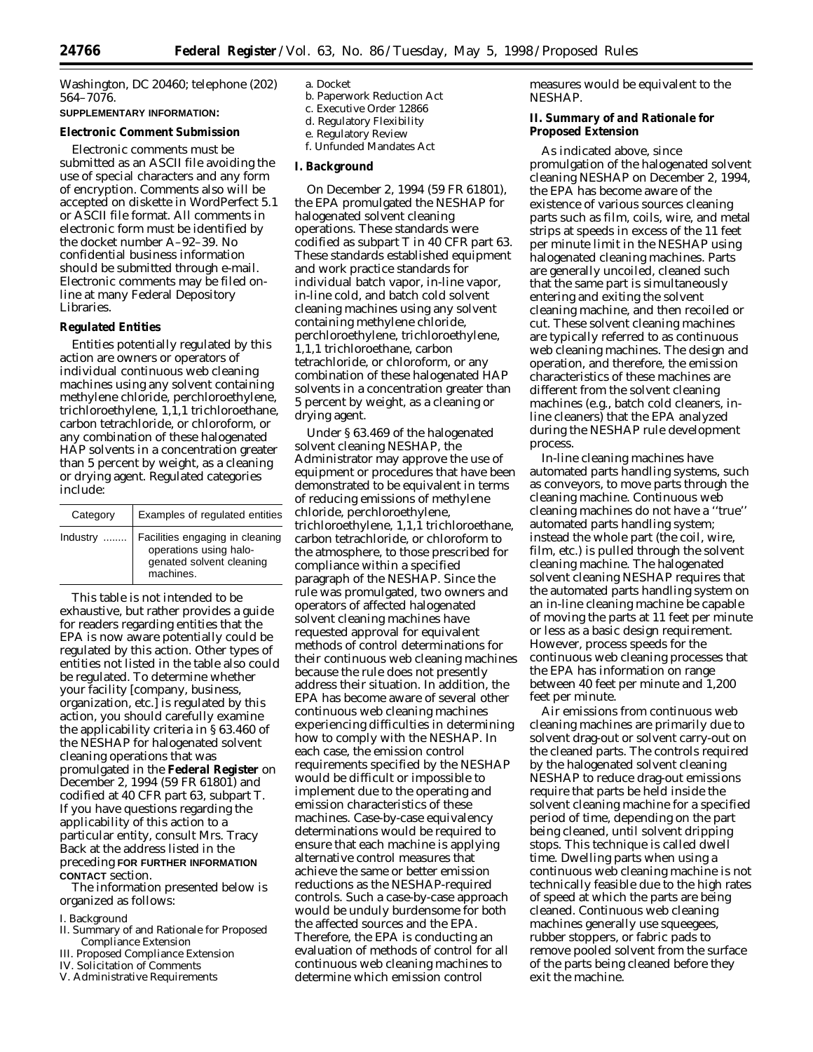Washington, DC 20460; telephone (202) 564–7076.

# **SUPPLEMENTARY INFORMATION:**

## **Electronic Comment Submission**

Electronic comments must be submitted as an ASCII file avoiding the use of special characters and any form of encryption. Comments also will be accepted on diskette in WordPerfect 5.1 or ASCII file format. All comments in electronic form must be identified by the docket number A–92–39. No confidential business information should be submitted through e-mail. Electronic comments may be filed online at many Federal Depository Libraries.

### **Regulated Entities**

Entities potentially regulated by this action are owners or operators of individual continuous web cleaning machines using any solvent containing methylene chloride, perchloroethylene, trichloroethylene, 1,1,1 trichloroethane, carbon tetrachloride, or chloroform, or any combination of these halogenated HAP solvents in a concentration greater than 5 percent by weight, as a cleaning or drying agent. Regulated categories include:

| Category | Examples of regulated entities                                                                     |
|----------|----------------------------------------------------------------------------------------------------|
| Industry | Facilities engaging in cleaning<br>operations using halo-<br>genated solvent cleaning<br>machines. |

This table is not intended to be exhaustive, but rather provides a guide for readers regarding entities that the EPA is now aware potentially could be regulated by this action. Other types of entities not listed in the table also could be regulated. To determine whether your facility [company, business, organization, etc.] is regulated by this action, you should carefully examine the applicability criteria in § 63.460 of the NESHAP for halogenated solvent cleaning operations that was promulgated in the **Federal Register** on December 2, 1994 (59 FR 61801) and codified at 40 CFR part 63, subpart T. If you have questions regarding the applicability of this action to a particular entity, consult Mrs. Tracy Back at the address listed in the preceding **FOR FURTHER INFORMATION CONTACT** section.

The information presented below is organized as follows:

### I. Background

- II. Summary of and Rationale for Proposed Compliance Extension
- III. Proposed Compliance Extension
- IV. Solicitation of Comments
- V. Administrative Requirements
- a. Docket
- b. Paperwork Reduction Act
- c. Executive Order 12866
- d. Regulatory Flexibility e. Regulatory Review
- f. Unfunded Mandates Act
- 

## **I. Background**

On December 2, 1994 (59 FR 61801), the EPA promulgated the NESHAP for halogenated solvent cleaning operations. These standards were codified as subpart T in 40 CFR part 63. These standards established equipment and work practice standards for individual batch vapor, in-line vapor, in-line cold, and batch cold solvent cleaning machines using any solvent containing methylene chloride, perchloroethylene, trichloroethylene, 1,1,1 trichloroethane, carbon tetrachloride, or chloroform, or any combination of these halogenated HAP solvents in a concentration greater than 5 percent by weight, as a cleaning or drying agent.

Under § 63.469 of the halogenated solvent cleaning NESHAP, the Administrator may approve the use of equipment or procedures that have been demonstrated to be equivalent in terms of reducing emissions of methylene chloride, perchloroethylene, trichloroethylene, 1,1,1 trichloroethane, carbon tetrachloride, or chloroform to the atmosphere, to those prescribed for compliance within a specified paragraph of the NESHAP. Since the rule was promulgated, two owners and operators of affected halogenated solvent cleaning machines have requested approval for equivalent methods of control determinations for their continuous web cleaning machines because the rule does not presently address their situation. In addition, the EPA has become aware of several other continuous web cleaning machines experiencing difficulties in determining how to comply with the NESHAP. In each case, the emission control requirements specified by the NESHAP would be difficult or impossible to implement due to the operating and emission characteristics of these machines. Case-by-case equivalency determinations would be required to ensure that each machine is applying alternative control measures that achieve the same or better emission reductions as the NESHAP-required controls. Such a case-by-case approach would be unduly burdensome for both the affected sources and the EPA. Therefore, the EPA is conducting an evaluation of methods of control for all continuous web cleaning machines to determine which emission control

measures would be equivalent to the NESHAP.

### **II. Summary of and Rationale for Proposed Extension**

As indicated above, since promulgation of the halogenated solvent cleaning NESHAP on December 2, 1994, the EPA has become aware of the existence of various sources cleaning parts such as film, coils, wire, and metal strips at speeds in excess of the 11 feet per minute limit in the NESHAP using halogenated cleaning machines. Parts are generally uncoiled, cleaned such that the same part is simultaneously entering and exiting the solvent cleaning machine, and then recoiled or cut. These solvent cleaning machines are typically referred to as continuous web cleaning machines. The design and operation, and therefore, the emission characteristics of these machines are different from the solvent cleaning machines (e.g., batch cold cleaners, inline cleaners) that the EPA analyzed during the NESHAP rule development process.

In-line cleaning machines have automated parts handling systems, such as conveyors, to move parts through the cleaning machine. Continuous web cleaning machines do not have a ''true'' automated parts handling system; instead the whole part (the coil, wire, film, etc.) is pulled through the solvent cleaning machine. The halogenated solvent cleaning NESHAP requires that the automated parts handling system on an in-line cleaning machine be capable of moving the parts at 11 feet per minute or less as a basic design requirement. However, process speeds for the continuous web cleaning processes that the EPA has information on range between 40 feet per minute and 1,200 feet per minute.

Air emissions from continuous web cleaning machines are primarily due to solvent drag-out or solvent carry-out on the cleaned parts. The controls required by the halogenated solvent cleaning NESHAP to reduce drag-out emissions require that parts be held inside the solvent cleaning machine for a specified period of time, depending on the part being cleaned, until solvent dripping stops. This technique is called dwell time. Dwelling parts when using a continuous web cleaning machine is not technically feasible due to the high rates of speed at which the parts are being cleaned. Continuous web cleaning machines generally use squeegees, rubber stoppers, or fabric pads to remove pooled solvent from the surface of the parts being cleaned before they exit the machine.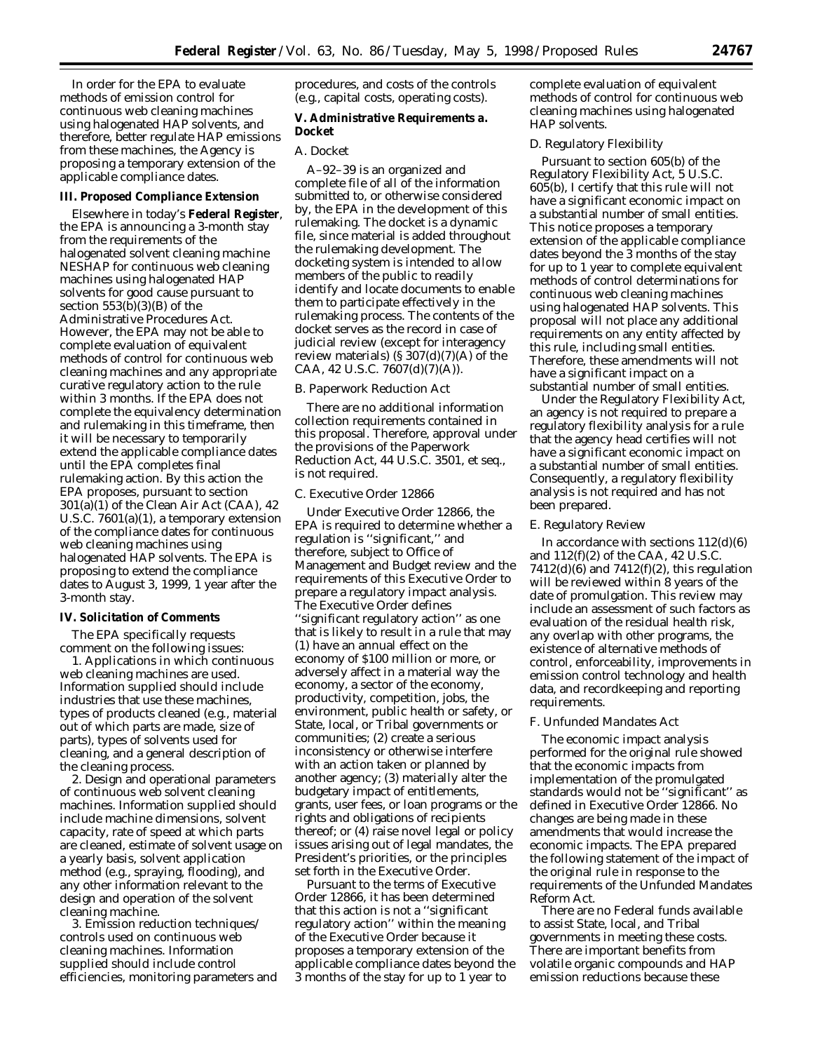In order for the EPA to evaluate methods of emission control for continuous web cleaning machines using halogenated HAP solvents, and therefore, better regulate HAP emissions from these machines, the Agency is proposing a temporary extension of the applicable compliance dates.

## **III. Proposed Compliance Extension**

Elsewhere in today's **Federal Register**, the EPA is announcing a 3-month stay from the requirements of the halogenated solvent cleaning machine NESHAP for continuous web cleaning machines using halogenated HAP solvents for good cause pursuant to section  $553(b)(3)(B)$  of the Administrative Procedures Act. However, the EPA may not be able to complete evaluation of equivalent methods of control for continuous web cleaning machines and any appropriate curative regulatory action to the rule within 3 months. If the EPA does not complete the equivalency determination and rulemaking in this timeframe, then it will be necessary to temporarily extend the applicable compliance dates until the EPA completes final rulemaking action. By this action the EPA proposes, pursuant to section  $301(a)(1)$  of the Clean Air Act (CAA), 42 U.S.C. 7601(a)(1), a temporary extension of the compliance dates for continuous web cleaning machines using halogenated HAP solvents. The EPA is proposing to extend the compliance dates to August 3, 1999, 1 year after the 3-month stay.

#### **IV. Solicitation of Comments**

The EPA specifically requests comment on the following issues:

1. Applications in which continuous web cleaning machines are used. Information supplied should include industries that use these machines, types of products cleaned (e.g., material out of which parts are made, size of parts), types of solvents used for cleaning, and a general description of the cleaning process.

2. Design and operational parameters of continuous web solvent cleaning machines. Information supplied should include machine dimensions, solvent capacity, rate of speed at which parts are cleaned, estimate of solvent usage on a yearly basis, solvent application method (e.g., spraying, flooding), and any other information relevant to the design and operation of the solvent cleaning machine.

3. Emission reduction techniques/ controls used on continuous web cleaning machines. Information supplied should include control efficiencies, monitoring parameters and procedures, and costs of the controls (e.g., capital costs, operating costs).

## **V. Administrative Requirements a. Docket**

## *A. Docket*

A–92–39 is an organized and complete file of all of the information submitted to, or otherwise considered by, the EPA in the development of this rulemaking. The docket is a dynamic file, since material is added throughout the rulemaking development. The docketing system is intended to allow members of the public to readily identify and locate documents to enable them to participate effectively in the rulemaking process. The contents of the docket serves as the record in case of judicial review (except for interagency review materials)  $(S307(d)(7)(A)$  of the CAA, 42 U.S.C. 7607(d)(7)(A)).

### *B. Paperwork Reduction Act*

There are no additional information collection requirements contained in this proposal. Therefore, approval under the provisions of the Paperwork Reduction Act, 44 U.S.C. 3501, *et seq.*, is not required.

### *C. Executive Order 12866*

Under Executive Order 12866, the EPA is required to determine whether a regulation is ''significant,'' and therefore, subject to Office of Management and Budget review and the requirements of this Executive Order to prepare a regulatory impact analysis. The Executive Order defines ''significant regulatory action'' as one that is likely to result in a rule that may (1) have an annual effect on the economy of \$100 million or more, or adversely affect in a material way the economy, a sector of the economy, productivity, competition, jobs, the environment, public health or safety, or State, local, or Tribal governments or communities; (2) create a serious inconsistency or otherwise interfere with an action taken or planned by another agency; (3) materially alter the budgetary impact of entitlements, grants, user fees, or loan programs or the rights and obligations of recipients thereof; or (4) raise novel legal or policy issues arising out of legal mandates, the President's priorities, or the principles set forth in the Executive Order.

Pursuant to the terms of Executive Order 12866, it has been determined that this action is not a ''significant regulatory action'' within the meaning of the Executive Order because it proposes a temporary extension of the applicable compliance dates beyond the 3 months of the stay for up to 1 year to

complete evaluation of equivalent methods of control for continuous web cleaning machines using halogenated HAP solvents.

## *D. Regulatory Flexibility*

Pursuant to section 605(b) of the Regulatory Flexibility Act, 5 U.S.C. 605(b), I certify that this rule will not have a significant economic impact on a substantial number of small entities. This notice proposes a temporary extension of the applicable compliance dates beyond the 3 months of the stay for up to 1 year to complete equivalent methods of control determinations for continuous web cleaning machines using halogenated HAP solvents. This proposal will not place any additional requirements on any entity affected by this rule, including small entities. Therefore, these amendments will not have a significant impact on a substantial number of small entities.

Under the Regulatory Flexibility Act, an agency is not required to prepare a regulatory flexibility analysis for a rule that the agency head certifies will not have a significant economic impact on a substantial number of small entities. Consequently, a regulatory flexibility analysis is not required and has not been prepared.

#### *E. Regulatory Review*

In accordance with sections  $112(d)(6)$ and 112(f)(2) of the CAA, 42 U.S.C.  $7412(d)(6)$  and  $7412(f)(2)$ , this regulation will be reviewed within 8 years of the date of promulgation. This review may include an assessment of such factors as evaluation of the residual health risk, any overlap with other programs, the existence of alternative methods of control, enforceability, improvements in emission control technology and health data, and recordkeeping and reporting requirements.

### *F. Unfunded Mandates Act*

The economic impact analysis performed for the original rule showed that the economic impacts from implementation of the promulgated standards would not be ''significant'' as defined in Executive Order 12866. No changes are being made in these amendments that would increase the economic impacts. The EPA prepared the following statement of the impact of the original rule in response to the requirements of the Unfunded Mandates Reform Act.

There are no Federal funds available to assist State, local, and Tribal governments in meeting these costs. There are important benefits from volatile organic compounds and HAP emission reductions because these